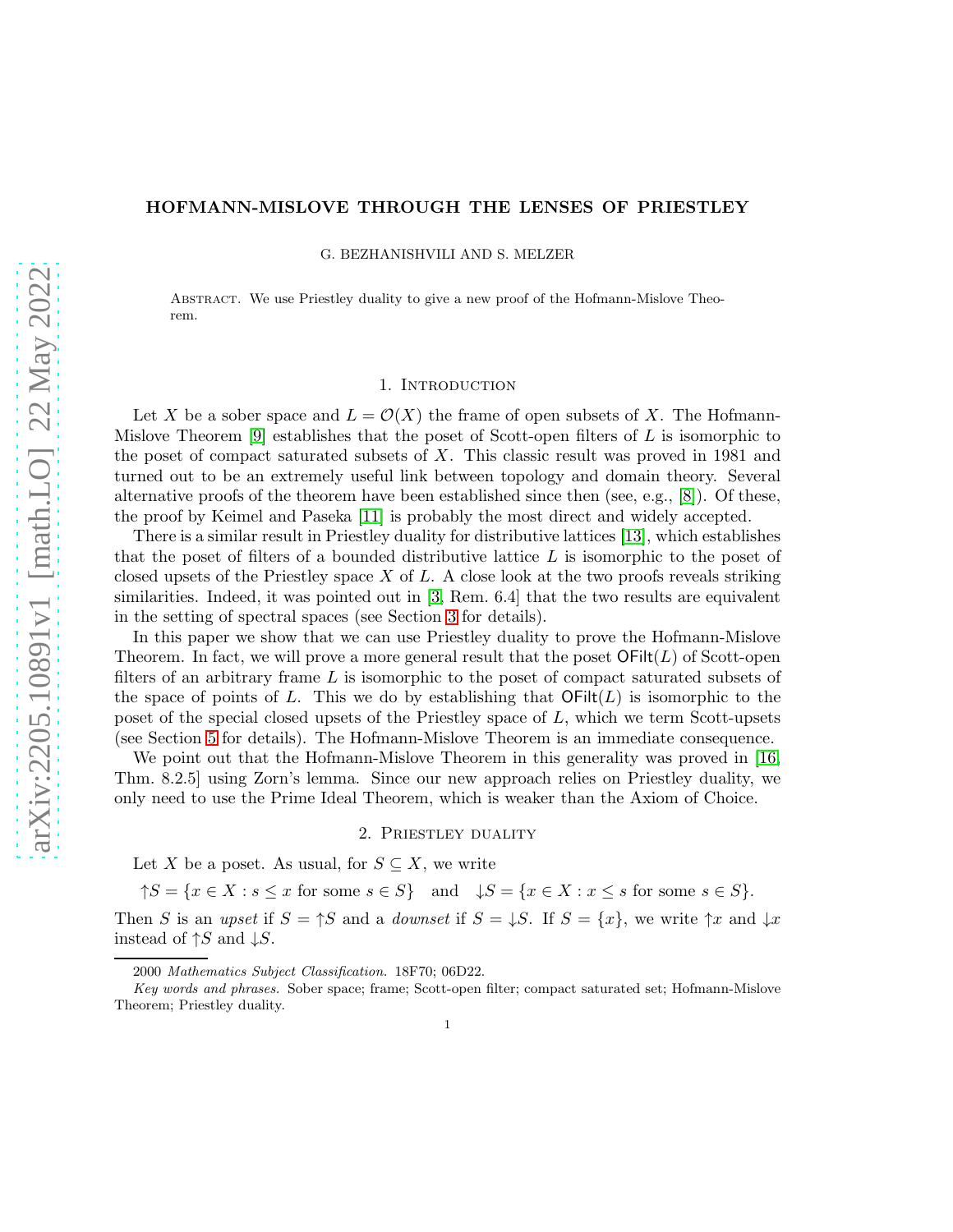# HOFMANN-MISLOVE THROUGH THE LENSES OF PRIESTLEY

G. BEZHANISHVILI AND S. MELZER

Abstract. We use Priestley duality to give a new proof of the Hofmann-Mislove Theorem.

## 1. INTRODUCTION

Let X be a sober space and  $L = \mathcal{O}(X)$  the frame of open subsets of X. The Hofmann-Mislove Theorem [\[9\]](#page-7-0) establishes that the poset of Scott-open filters of  $L$  is isomorphic to the poset of compact saturated subsets of  $X$ . This classic result was proved in 1981 and turned out to be an extremely useful link between topology and domain theory. Several alternative proofs of the theorem have been established since then (see, e.g., [\[8\]](#page-7-1)). Of these, the proof by Keimel and Paseka [\[11\]](#page-7-2) is probably the most direct and widely accepted.

There is a similar result in Priestley duality for distributive lattices [\[13\]](#page-7-3), which establishes that the poset of filters of a bounded distributive lattice  $L$  is isomorphic to the poset of closed upsets of the Priestley space  $X$  of  $L$ . A close look at the two proofs reveals striking similarities. Indeed, it was pointed out in [\[3,](#page-6-0) Rem. 6.4] that the two results are equivalent in the setting of spectral spaces (see Section [3](#page-2-0) for details).

In this paper we show that we can use Priestley duality to prove the Hofmann-Mislove Theorem. In fact, we will prove a more general result that the poset  $\mathsf{OFilt}(L)$  of Scott-open filters of an arbitrary frame  $L$  is isomorphic to the poset of compact saturated subsets of the space of points of L. This we do by establishing that  $\mathsf{OFilt}(L)$  is isomorphic to the poset of the special closed upsets of the Priestley space of L, which we term Scott-upsets (see Section [5](#page-4-0) for details). The Hofmann-Mislove Theorem is an immediate consequence.

We point out that the Hofmann-Mislove Theorem in this generality was proved in [\[16,](#page-7-4) Thm. 8.2.5] using Zorn's lemma. Since our new approach relies on Priestley duality, we only need to use the Prime Ideal Theorem, which is weaker than the Axiom of Choice.

#### 2. Priestley duality

<span id="page-0-0"></span>Let X be a poset. As usual, for  $S \subseteq X$ , we write

 $\uparrow S = \{x \in X : s \leq x \text{ for some } s \in S\}$  and  $\downarrow S = \{x \in X : x \leq s \text{ for some } s \in S\}.$ 

Then S is an upset if  $S = \uparrow S$  and a *downset* if  $S = \downarrow S$ . If  $S = \{x\}$ , we write  $\uparrow x$  and  $\downarrow x$ instead of  $\uparrow S$  and  $\downarrow S$ .

<sup>2000</sup> Mathematics Subject Classification. 18F70; 06D22.

Key words and phrases. Sober space; frame; Scott-open filter; compact saturated set; Hofmann-Mislove Theorem; Priestley duality.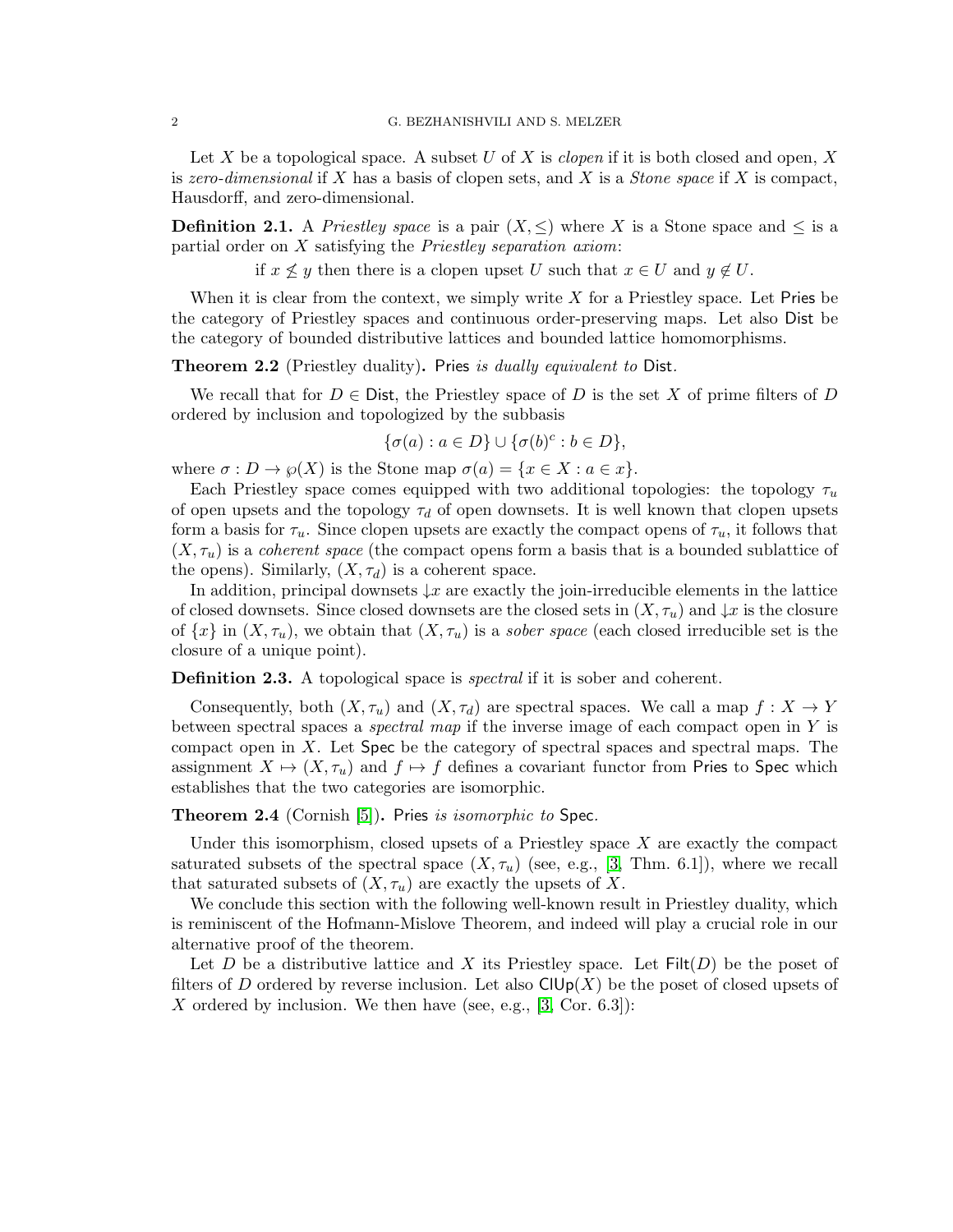Let X be a topological space. A subset U of X is *clopen* if it is both closed and open, X is zero-dimensional if X has a basis of clopen sets, and X is a *Stone space* if X is compact, Hausdorff, and zero-dimensional.

**Definition 2.1.** A Priestley space is a pair  $(X, \leq)$  where X is a Stone space and  $\leq$  is a partial order on  $X$  satisfying the Priestley separation axiom:

if  $x \nleq y$  then there is a clopen upset U such that  $x \in U$  and  $y \notin U$ .

When it is clear from the context, we simply write  $X$  for a Priestley space. Let Pries be the category of Priestley spaces and continuous order-preserving maps. Let also Dist be the category of bounded distributive lattices and bounded lattice homomorphisms.

Theorem 2.2 (Priestley duality). Pries is dually equivalent to Dist.

We recall that for  $D \in \mathsf{Dist}$ , the Priestley space of D is the set X of prime filters of D ordered by inclusion and topologized by the subbasis

$$
\{\sigma(a) : a \in D\} \cup \{\sigma(b)^c : b \in D\},\
$$

where  $\sigma: D \to \varphi(X)$  is the Stone map  $\sigma(a) = \{x \in X : a \in x\}.$ 

Each Priestley space comes equipped with two additional topologies: the topology  $\tau_u$ of open upsets and the topology  $\tau_d$  of open downsets. It is well known that clopen upsets form a basis for  $\tau_u$ . Since clopen upsets are exactly the compact opens of  $\tau_u$ , it follows that  $(X, \tau_u)$  is a *coherent space* (the compact opens form a basis that is a bounded sublattice of the opens). Similarly,  $(X, \tau_d)$  is a coherent space.

In addition, principal downsets  $\downarrow x$  are exactly the join-irreducible elements in the lattice of closed downsets. Since closed downsets are the closed sets in  $(X, \tau_u)$  and  $\downarrow x$  is the closure of  $\{x\}$  in  $(X, \tau_u)$ , we obtain that  $(X, \tau_u)$  is a *sober space* (each closed irreducible set is the closure of a unique point).

**Definition 2.3.** A topological space is *spectral* if it is sober and coherent.

Consequently, both  $(X, \tau_u)$  and  $(X, \tau_d)$  are spectral spaces. We call a map  $f : X \to Y$ between spectral spaces a *spectral map* if the inverse image of each compact open in  $Y$  is compact open in  $X$ . Let  $Spec$  be the category of spectral spaces and spectral maps. The assignment  $X \mapsto (X, \tau_u)$  and  $f \mapsto f$  defines a covariant functor from Pries to Spec which establishes that the two categories are isomorphic.

<span id="page-1-1"></span>**Theorem 2.4** (Cornish [\[5\]](#page-7-5)). Pries is isomorphic to Spec.

Under this isomorphism, closed upsets of a Priestley space  $X$  are exactly the compact saturated subsets of the spectral space  $(X, \tau_u)$  (see, e.g., [\[3,](#page-6-0) Thm. 6.1]), where we recall that saturated subsets of  $(X, \tau_u)$  are exactly the upsets of X.

We conclude this section with the following well-known result in Priestley duality, which is reminiscent of the Hofmann-Mislove Theorem, and indeed will play a crucial role in our alternative proof of the theorem.

<span id="page-1-0"></span>Let D be a distributive lattice and X its Priestley space. Let  $Filt(D)$  be the poset of filters of D ordered by reverse inclusion. Let also  $\text{ClUp}(X)$  be the poset of closed upsets of X ordered by inclusion. We then have (see, e.g.,  $[3, \text{Cor. } 6.3]$ ):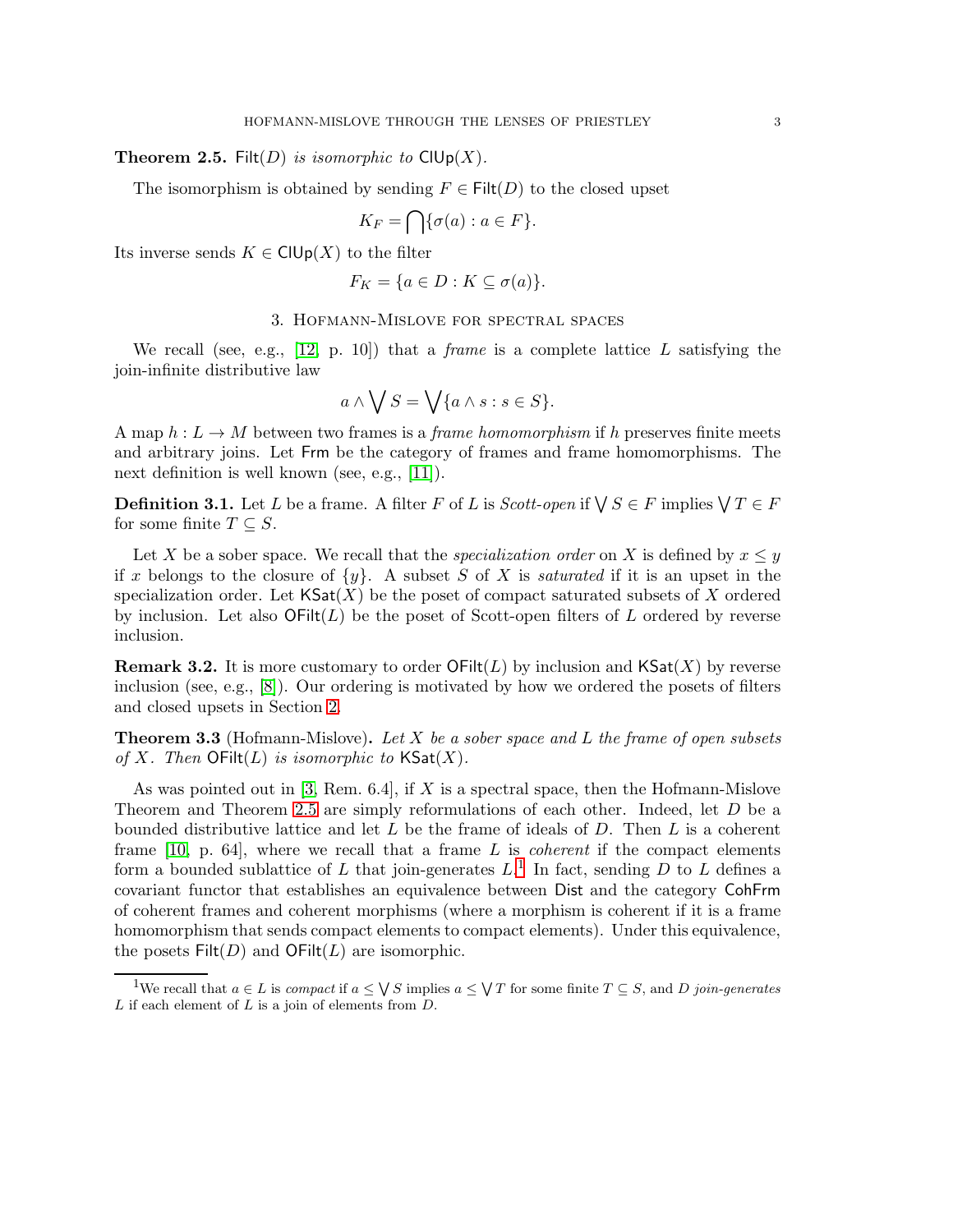## **Theorem 2.5.** Filt(D) is isomorphic to  $\text{ClUp}(X)$ .

The isomorphism is obtained by sending  $F \in \text{Filt}(D)$  to the closed upset

$$
K_F = \bigcap \{ \sigma(a) : a \in F \}.
$$

<span id="page-2-0"></span>Its inverse sends  $K \in \text{ClUp}(X)$  to the filter

$$
F_K = \{a \in D : K \subseteq \sigma(a)\}.
$$

## 3. Hofmann-Mislove for spectral spaces

We recall (see, e.g., [\[12,](#page-7-6) p. 10]) that a *frame* is a complete lattice L satisfying the join-infinite distributive law

$$
a \wedge \bigvee S = \bigvee \{a \wedge s : s \in S\}.
$$

A map  $h: L \to M$  between two frames is a *frame homomorphism* if h preserves finite meets and arbitrary joins. Let Frm be the category of frames and frame homomorphisms. The next definition is well known (see, e.g., [\[11\]](#page-7-2)).

**Definition 3.1.** Let L be a frame. A filter F of L is Scott-open if  $\bigvee S \in F$  implies  $\bigvee T \in F$ for some finite  $T \subset S$ .

Let X be a sober space. We recall that the *specialization order* on X is defined by  $x \leq y$ if x belongs to the closure of  $\{y\}$ . A subset S of X is *saturated* if it is an upset in the specialization order. Let  $\mathsf{KSat}(X)$  be the poset of compact saturated subsets of X ordered by inclusion. Let also  $\mathsf{OFilt}(L)$  be the poset of Scott-open filters of L ordered by reverse inclusion.

**Remark 3.2.** It is more customary to order  $OFilt(L)$  by inclusion and  $KSat(X)$  by reverse inclusion (see, e.g., [\[8\]](#page-7-1)). Our ordering is motivated by how we ordered the posets of filters and closed upsets in Section [2.](#page-0-0)

**Theorem 3.3** (Hofmann-Mislove). Let X be a sober space and L the frame of open subsets of X. Then  $\mathsf{OFilt}(L)$  is isomorphic to  $\mathsf{KSat}(X)$ .

As was pointed out in [\[3,](#page-6-0) Rem. 6.4], if X is a spectral space, then the Hofmann-Mislove Theorem and Theorem [2.5](#page-1-0) are simply reformulations of each other. Indeed, let D be a bounded distributive lattice and let  $L$  be the frame of ideals of  $D$ . Then  $L$  is a coherent frame  $[10, p. 64]$ , where we recall that a frame L is *coherent* if the compact elements form a bounded sublattice of L that join-generates  $L<sup>1</sup>$  $L<sup>1</sup>$  $L<sup>1</sup>$ . In fact, sending D to L defines a covariant functor that establishes an equivalence between Dist and the category CohFrm of coherent frames and coherent morphisms (where a morphism is coherent if it is a frame homomorphism that sends compact elements to compact elements). Under this equivalence, the posets  $Filt(D)$  and  $OFilt(L)$  are isomorphic.

<span id="page-2-1"></span><sup>&</sup>lt;sup>1</sup>We recall that  $a \in L$  is *compact* if  $a \leq \sqrt{S}$  implies  $a \leq \sqrt{T}$  for some finite  $T \subseteq S$ , and D join-generates  $L$  if each element of  $L$  is a join of elements from  $D$ .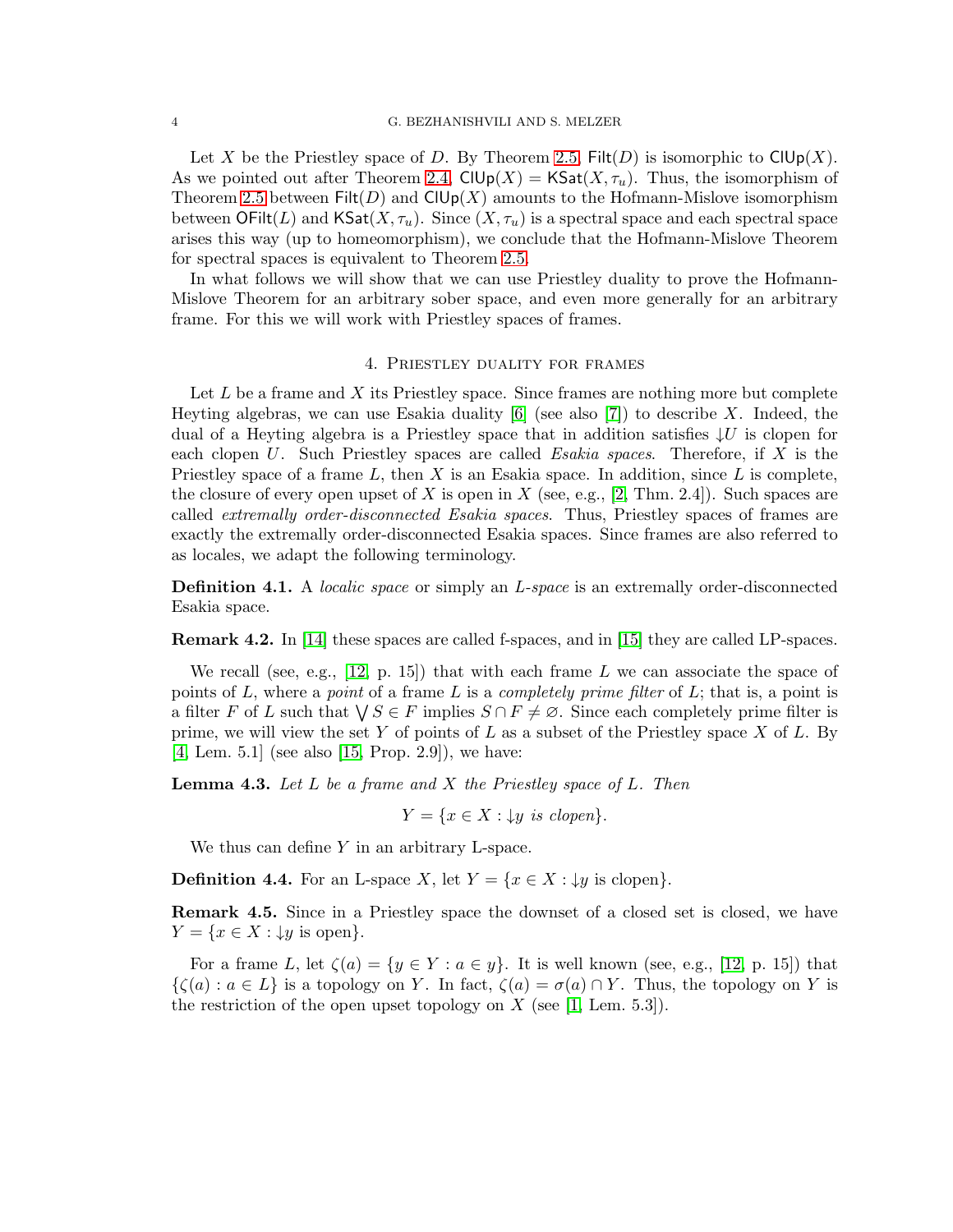Let X be the Priestley space of D. By Theorem [2.5,](#page-1-0) Filt(D) is isomorphic to  $\text{ClUp}(X)$ . As we pointed out after Theorem [2.4,](#page-1-1)  $\text{ClUp}(X) = \text{KSat}(X, \tau_u)$ . Thus, the isomorphism of Theorem [2.5](#page-1-0) between  $\text{Filt}(D)$  and  $\text{ClUp}(X)$  amounts to the Hofmann-Mislove isomorphism between  $\mathsf{OFilt}(L)$  and  $\mathsf{KSat}(X,\tau_u)$ . Since  $(X,\tau_u)$  is a spectral space and each spectral space arises this way (up to homeomorphism), we conclude that the Hofmann-Mislove Theorem for spectral spaces is equivalent to Theorem [2.5.](#page-1-0)

In what follows we will show that we can use Priestley duality to prove the Hofmann-Mislove Theorem for an arbitrary sober space, and even more generally for an arbitrary frame. For this we will work with Priestley spaces of frames.

## 4. Priestley duality for frames

Let  $L$  be a frame and  $X$  its Priestley space. Since frames are nothing more but complete Heyting algebras, we can use Esakia duality  $[6]$  (see also  $[7]$ ) to describe X. Indeed, the dual of a Heyting algebra is a Priestley space that in addition satisfies  $\downarrow U$  is clopen for each clopen U. Such Priestley spaces are called Esakia spaces. Therefore, if X is the Priestley space of a frame  $L$ , then X is an Esakia space. In addition, since  $L$  is complete, the closure of every open upset of X is open in X (see, e.g., [\[2,](#page-6-1) Thm. 2.4]). Such spaces are called extremally order-disconnected Esakia spaces. Thus, Priestley spaces of frames are exactly the extremally order-disconnected Esakia spaces. Since frames are also referred to as locales, we adapt the following terminology.

**Definition 4.1.** A *localic space* or simply an *L*-space is an extremally order-disconnected Esakia space.

Remark 4.2. In [\[14\]](#page-7-10) these spaces are called f-spaces, and in [\[15\]](#page-7-11) they are called LP-spaces.

We recall (see, e.g., [\[12,](#page-7-6) p. 15]) that with each frame L we can associate the space of points of L, where a *point* of a frame L is a *completely prime filter* of L; that is, a point is a filter F of L such that  $\bigvee S \in F$  implies  $S \cap F \neq \emptyset$ . Since each completely prime filter is prime, we will view the set Y of points of L as a subset of the Priestley space X of L. By [\[4,](#page-6-2) Lem. 5.1] (see also [\[15,](#page-7-11) Prop. 2.9]), we have:

<span id="page-3-0"></span>**Lemma 4.3.** Let  $L$  be a frame and  $X$  the Priestley space of  $L$ . Then

 $Y = \{x \in X : \downarrow y \text{ is clopen}\}.$ 

We thus can define  $Y$  in an arbitrary L-space.

**Definition 4.4.** For an L-space X, let  $Y = \{x \in X : \downarrow y \text{ is clopen}\}.$ 

**Remark 4.5.** Since in a Priestley space the downset of a closed set is closed, we have  $Y = \{x \in X : \downarrow y \text{ is open}\}.$ 

For a frame L, let  $\zeta(a) = \{y \in Y : a \in y\}$ . It is well known (see, e.g., [\[12,](#page-7-6) p. 15]) that  $\{\zeta(a): a \in L\}$  is a topology on Y. In fact,  $\zeta(a) = \sigma(a) \cap Y$ . Thus, the topology on Y is the restriction of the open upset topology on X (see [\[1,](#page-6-3) Lem. 5.3]).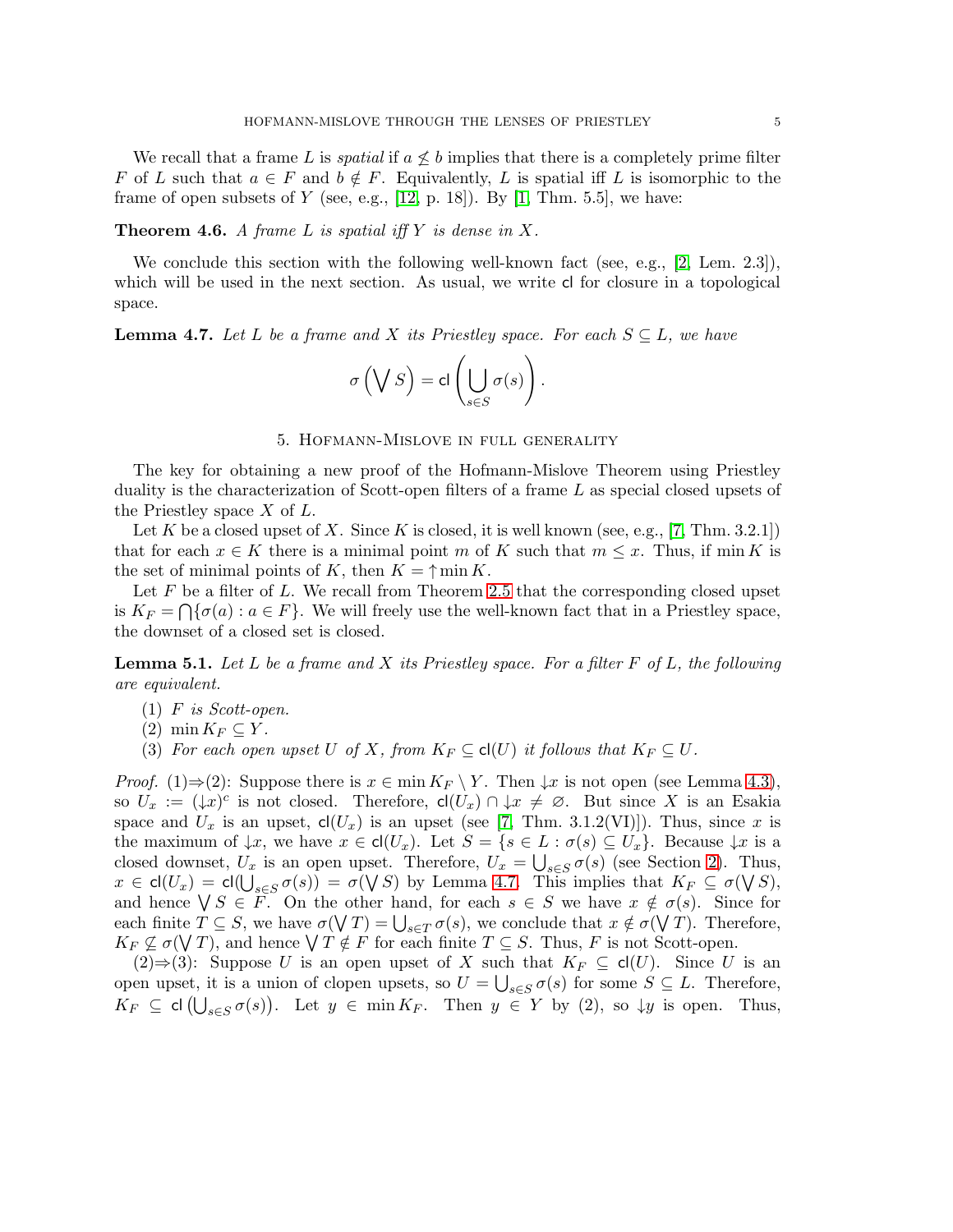We recall that a frame L is *spatial* if  $a \nleq b$  implies that there is a completely prime filter F of L such that  $a \in F$  and  $b \notin F$ . Equivalently, L is spatial iff L is isomorphic to the frame of open subsets of  $Y$  (see, e.g., [\[12,](#page-7-6) p. 18]). By [\[1,](#page-6-3) Thm. 5.5], we have:

**Theorem 4.6.** A frame L is spatial iff Y is dense in X.

We conclude this section with the following well-known fact (see, e.g., [\[2,](#page-6-1) Lem. 2.3]), which will be used in the next section. As usual, we write cl for closure in a topological space.

# <span id="page-4-1"></span>**Lemma 4.7.** Let L be a frame and X its Priestley space. For each  $S \subseteq L$ , we have

$$
\sigma\left(\bigvee S\right) = \mathsf{cl}\left(\bigcup_{s \in S} \sigma(s)\right).
$$

## 5. Hofmann-Mislove in full generality

<span id="page-4-0"></span>The key for obtaining a new proof of the Hofmann-Mislove Theorem using Priestley duality is the characterization of Scott-open filters of a frame L as special closed upsets of the Priestley space  $X$  of  $L$ .

Let K be a closed upset of X. Since K is closed, it is well known (see, e.g., [\[7,](#page-7-9) Thm. 3.2.1]) that for each  $x \in K$  there is a minimal point m of K such that  $m \leq x$ . Thus, if min K is the set of minimal points of K, then  $K = \uparrow \min K$ .

Let  $F$  be a filter of L. We recall from Theorem [2.5](#page-1-0) that the corresponding closed upset is  $K_F = \bigcap \{\sigma(a) : a \in F\}$ . We will freely use the well-known fact that in a Priestley space, the downset of a closed set is closed.

<span id="page-4-2"></span>**Lemma 5.1.** Let L be a frame and X its Priestley space. For a filter F of L, the following are equivalent.

- $(1)$  F is Scott-open.
- $(2)$  min  $K_F \subset Y$ .
- (3) For each open upset U of X, from  $K_F \subseteq cl(U)$  it follows that  $K_F \subseteq U$ .

*Proof.* (1)⇒(2): Suppose there is  $x \in \min K_F \setminus Y$ . Then  $\downarrow x$  is not open (see Lemma [4.3\)](#page-3-0), so  $U_x := (\downarrow x)^c$  is not closed. Therefore,  $\mathsf{cl}(U_x) \cap \downarrow x \neq \emptyset$ . But since X is an Esakia space and  $U_x$  is an upset,  $cl(U_x)$  is an upset (see [\[7,](#page-7-9) Thm. 3.1.2(VI)]). Thus, since x is the maximum of  $\downarrow x$ , we have  $x \in cl(U_x)$ . Let  $S = \{s \in L : \sigma(s) \subseteq U_x\}$ . Because  $\downarrow x$  is a closed downset,  $U_x$  is an open upset. Therefore,  $U_x = \bigcup_{s \in S} \sigma(s)$  (see Section [2\)](#page-0-0). Thus,  $x \in \text{cl}(U_x) = \text{cl}(\bigcup_{s \in S} \sigma(s)) = \sigma(\bigvee S)$  by Lemma [4.7.](#page-4-1) This implies that  $K_F \subseteq \sigma(\bigvee S)$ , and hence  $\bigvee S \in F$ . On the other hand, for each  $s \in S$  we have  $x \notin \sigma(s)$ . Since for each finite  $T \subseteq S$ , we have  $\sigma(\bigvee T) = \bigcup_{s \in T} \sigma(s)$ , we conclude that  $x \notin \sigma(\bigvee T)$ . Therefore,  $K_F \not\subseteq \sigma(\bigvee T)$ , and hence  $\bigvee T \notin F$  for each finite  $T \subseteq S$ . Thus, F is not Scott-open.

 $(2) \Rightarrow (3)$ : Suppose U is an open upset of X such that  $K_F \subseteq cl(U)$ . Since U is an open upset, it is a union of clopen upsets, so  $U = \bigcup_{s \in S} \sigma(s)$  for some  $S \subseteq L$ . Therefore,  $K_F \subseteq cl \left(\bigcup_{s \in S} \sigma(s)\right)$ . Let  $y \in \min K_F$ . Then  $y \in Y$  by (2), so  $\downarrow y$  is open. Thus,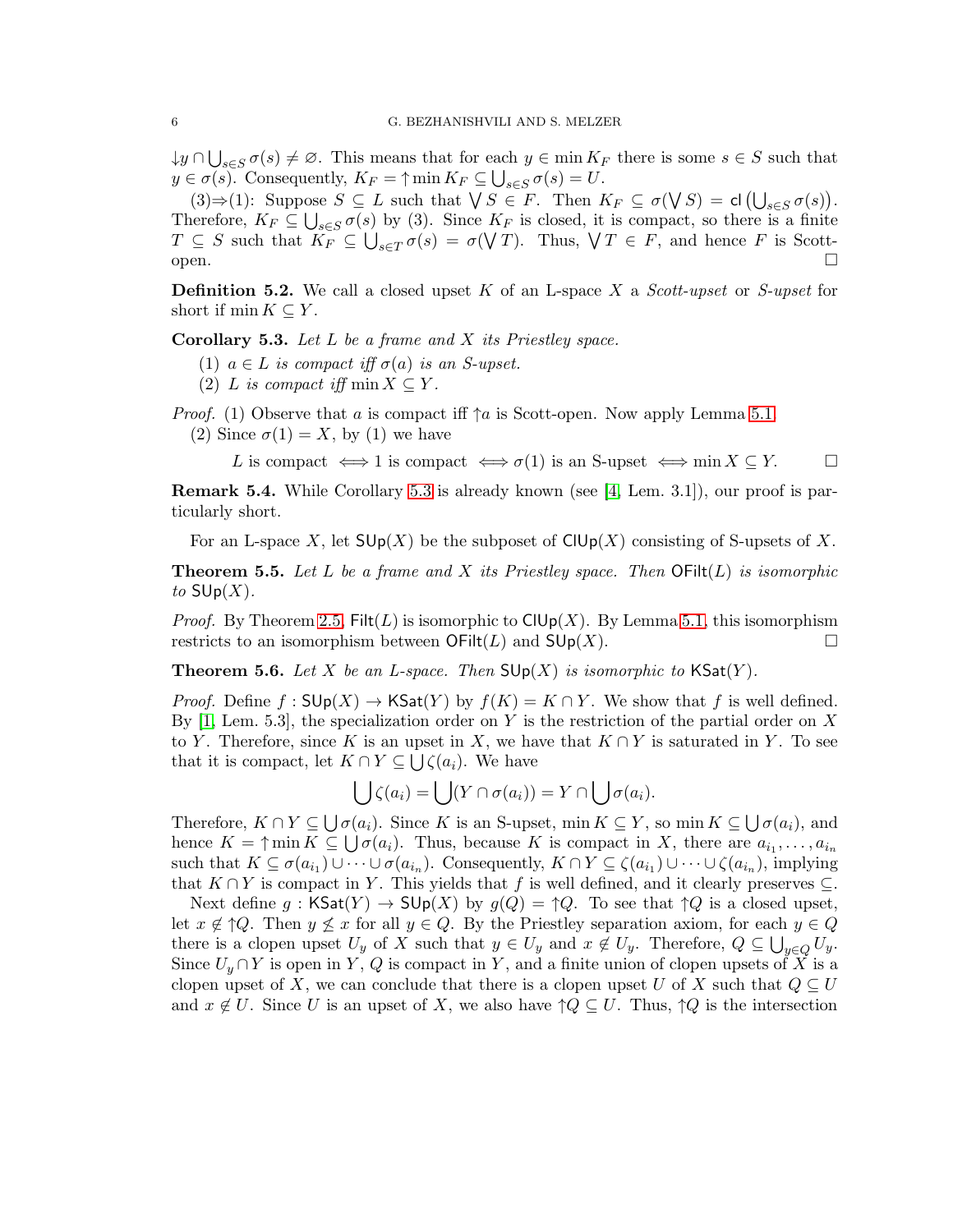$\downarrow y \cap \bigcup_{s \in S} \sigma(s) \neq \emptyset$ . This means that for each  $y \in \min K_F$  there is some  $s \in S$  such that  $y \in \sigma(s)$ . Consequently,  $K_F = \uparrow \min K_F \subseteq \bigcup_{s \in S} \sigma(s) = U$ .

(3)⇒(1): Suppose  $S \subseteq L$  such that  $\bigvee S \in F$ . Then  $K_F \subseteq \sigma(\bigvee S) = cl \bigcup_{s \in S} \sigma(s) \big)$ . Therefore,  $K_F \subseteq \bigcup_{s \in S} \sigma(s)$  by (3). Since  $K_F$  is closed, it is compact, so there is a finite  $T \subseteq S$  such that  $K_F \subseteq \bigcup_{s \in T} \sigma(s) = \sigma(\bigvee T)$ . Thus,  $\bigvee T \in F$ , and hence F is Scottopen.  $\square$ 

**Definition 5.2.** We call a closed upset K of an L-space X a Scott-upset or S-upset for short if min  $K \subseteq Y$ .

<span id="page-5-0"></span>**Corollary 5.3.** Let  $L$  be a frame and  $X$  its Priestley space.

- (1)  $a \in L$  is compact iff  $\sigma(a)$  is an S-upset.
- (2) L is compact iff min  $X \subseteq Y$ .

*Proof.* (1) Observe that a is compact iff  $\uparrow a$  is Scott-open. Now apply Lemma [5.1.](#page-4-2)

(2) Since  $\sigma(1) = X$ , by (1) we have

L is compact  $\iff$  1 is compact  $\iff$   $\sigma(1)$  is an S-upset  $\iff$  min  $X \subseteq Y$ .  $\Box$ 

**Remark 5.4.** While Corollary [5.3](#page-5-0) is already known (see [\[4,](#page-6-2) Lem. 3.1]), our proof is particularly short.

<span id="page-5-1"></span>For an L-space X, let  $\mathsf{SUp}(X)$  be the subposet of  $\mathsf{ClUp}(X)$  consisting of S-upsets of X.

**Theorem 5.5.** Let L be a frame and X its Priestley space. Then  $\text{Ofilt}(L)$  is isomorphic to  $\mathsf{SUP}(X)$ .

*Proof.* By Theorem [2.5,](#page-1-0)  $Filt(L)$  is isomorphic to  $ClUp(X)$ . By Lemma [5.1,](#page-4-2) this isomorphism restricts to an isomorphism between  $\mathsf{OFilt}(L)$  and  $\mathsf{SUp}(X)$ .

<span id="page-5-2"></span>**Theorem 5.6.** Let X be an L-space. Then  $\mathsf{SUp}(X)$  is isomorphic to  $\mathsf{KSat}(Y)$ .

*Proof.* Define  $f : \mathsf{SUp}(X) \to \mathsf{KSat}(Y)$  by  $f(K) = K \cap Y$ . We show that f is well defined. By [\[1,](#page-6-3) Lem. 5.3], the specialization order on Y is the restriction of the partial order on X to Y. Therefore, since K is an upset in X, we have that  $K \cap Y$  is saturated in Y. To see that it is compact, let  $K \cap Y \subseteq \bigcup \zeta(a_i)$ . We have

$$
\bigcup \zeta(a_i) = \bigcup (Y \cap \sigma(a_i)) = Y \cap \bigcup \sigma(a_i).
$$

Therefore,  $K \cap Y \subseteq \bigcup \sigma(a_i)$ . Since K is an S-upset, min  $K \subseteq Y$ , so min  $K \subseteq \bigcup \sigma(a_i)$ , and hence  $K = \uparrow \min K \subseteq \bigcup \sigma(a_i)$ . Thus, because K is compact in X, there are  $a_{i_1}, \ldots, a_{i_n}$ such that  $K \subseteq \sigma(a_{i_1}) \cup \cdots \cup \sigma(a_{i_n})$ . Consequently,  $K \cap Y \subseteq \zeta(a_{i_1}) \cup \cdots \cup \zeta(a_{i_n})$ , implying that  $K \cap Y$  is compact in Y. This yields that f is well defined, and it clearly preserves  $\subseteq$ .

Next define g:  $\mathsf{KSat}(Y) \to \mathsf{SUp}(X)$  by  $g(Q) = \uparrow Q$ . To see that  $\uparrow Q$  is a closed upset, let  $x \notin \uparrow Q$ . Then  $y \not\leq x$  for all  $y \in Q$ . By the Priestley separation axiom, for each  $y \in Q$ there is a clopen upset  $U_y$  of X such that  $y \in U_y$  and  $x \notin U_y$ . Therefore,  $Q \subseteq \bigcup_{y \in Q} U_y$ . Since  $U_y \cap Y$  is open in Y, Q is compact in Y, and a finite union of clopen upsets of X is a clopen upset of X, we can conclude that there is a clopen upset U of X such that  $Q \subseteq U$ and  $x \notin U$ . Since U is an upset of X, we also have  $\uparrow Q \subseteq U$ . Thus,  $\uparrow Q$  is the intersection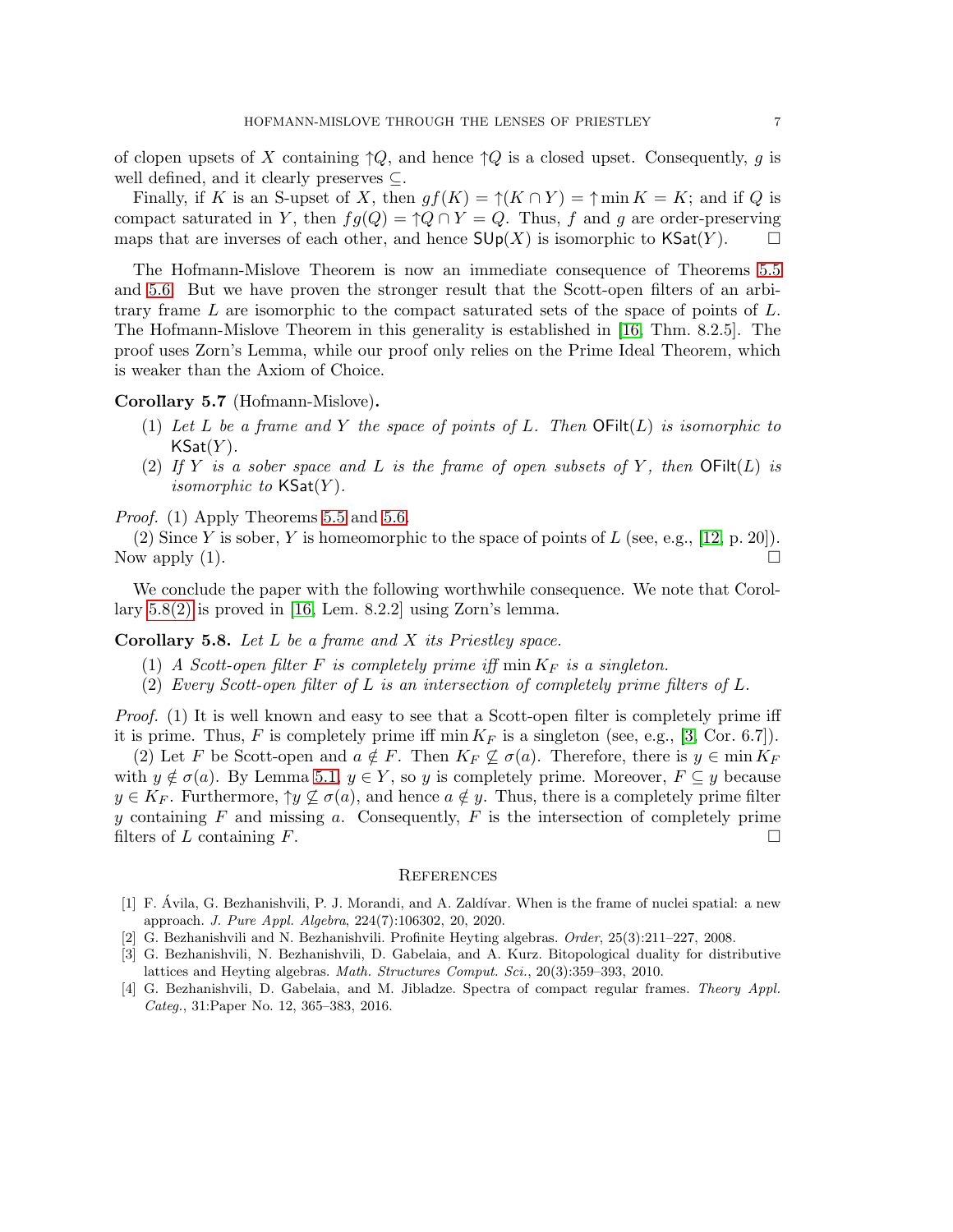of clopen upsets of X containing  $\uparrow Q$ , and hence  $\uparrow Q$  is a closed upset. Consequently, g is well defined, and it clearly preserves ⊆.

Finally, if K is an S-upset of X, then  $gf(K) = \uparrow(K \cap Y) = \uparrow \min K = K$ ; and if Q is compact saturated in Y, then  $fg(Q) = \uparrow Q \cap Y = Q$ . Thus, f and g are order-preserving maps that are inverses of each other, and hence  $\mathsf{SUp}(X)$  is isomorphic to  $\mathsf{KSat}(Y)$ .  $\Box$ 

The Hofmann-Mislove Theorem is now an immediate consequence of Theorems [5.5](#page-5-1) and [5.6.](#page-5-2) But we have proven the stronger result that the Scott-open filters of an arbitrary frame  $L$  are isomorphic to the compact saturated sets of the space of points of  $L$ . The Hofmann-Mislove Theorem in this generality is established in [\[16,](#page-7-4) Thm. 8.2.5]. The proof uses Zorn's Lemma, while our proof only relies on the Prime Ideal Theorem, which is weaker than the Axiom of Choice.

## Corollary 5.7 (Hofmann-Mislove).

- (1) Let L be a frame and Y the space of points of L. Then  $\text{OFilt}(L)$  is isomorphic to  $\mathsf{KSat}(Y)$ .
- (2) If Y is a sober space and L is the frame of open subsets of Y, then  $\text{OFilt}(L)$  is *isomorphic to*  $\textsf{KSat}(Y)$ .

Proof. (1) Apply Theorems [5.5](#page-5-1) and [5.6.](#page-5-2)

(2) Since Y is sober, Y is homeomorphic to the space of points of  $L$  (see, e.g., [\[12,](#page-7-6) p. 20]). Now apply  $(1)$ .

We conclude the paper with the following worthwhile consequence. We note that Corollary  $5.8(2)$  is proved in [\[16,](#page-7-4) Lem. 8.2.2] using Zorn's lemma.

<span id="page-6-4"></span>**Corollary 5.8.** Let  $L$  be a frame and  $X$  its Priestley space.

- (1) A Scott-open filter F is completely prime iff  $\min K_F$  is a singleton.
- (2) Every Scott-open filter of L is an intersection of completely prime filters of L.

Proof. (1) It is well known and easy to see that a Scott-open filter is completely prime iff it is prime. Thus, F is completely prime iff  $\min K_F$  is a singleton (see, e.g., [\[3,](#page-6-0) Cor. 6.7]).

(2) Let F be Scott-open and  $a \notin F$ . Then  $K_F \nsubseteq \sigma(a)$ . Therefore, there is  $y \in \min K_F$ with  $y \notin \sigma(a)$ . By Lemma [5.1,](#page-4-2)  $y \in Y$ , so y is completely prime. Moreover,  $F \subseteq y$  because  $y \in K_F$ . Furthermore,  $\uparrow y \not\subseteq \sigma(a)$ , and hence  $a \notin y$ . Thus, there is a completely prime filter y containing  $F$  and missing  $a$ . Consequently,  $F$  is the intersection of completely prime filters of L containing F.

### **REFERENCES**

- <span id="page-6-3"></span>[1] F. Avila, G. Bezhanishvili, P. J. Morandi, and A. Zaldívar. When is the frame of nuclei spatial: a new approach. J. Pure Appl. Algebra, 224(7):106302, 20, 2020.
- <span id="page-6-1"></span><span id="page-6-0"></span>[2] G. Bezhanishvili and N. Bezhanishvili. Profinite Heyting algebras. Order, 25(3):211–227, 2008.
- [3] G. Bezhanishvili, N. Bezhanishvili, D. Gabelaia, and A. Kurz. Bitopological duality for distributive lattices and Heyting algebras. Math. Structures Comput. Sci., 20(3):359–393, 2010.
- <span id="page-6-2"></span>[4] G. Bezhanishvili, D. Gabelaia, and M. Jibladze. Spectra of compact regular frames. Theory Appl. Categ., 31:Paper No. 12, 365–383, 2016.